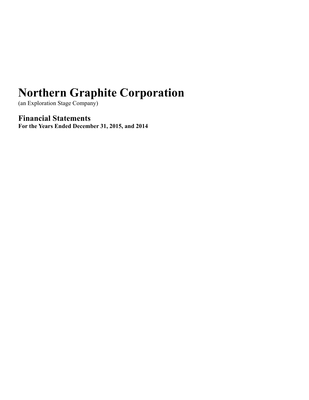(an Exploration Stage Company)

**Financial Statements For the Years Ended December 31, 2015, and 2014**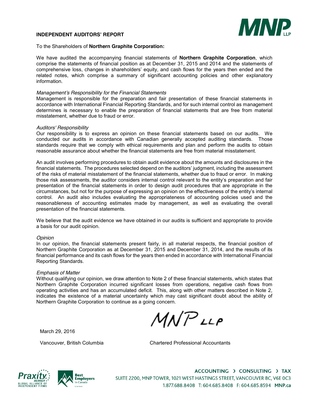#### **INDEPENDENT AUDITORS' REPORT**



#### To the Shareholders of **Northern Graphite Corporation:**

We have audited the accompanying financial statements of **Northern Graphite Corporation**, which comprise the statements of financial position as at December 31, 2015 and 2014 and the statements of comprehensive loss, changes in shareholders' equity, and cash flows for the years then ended and the related notes, which comprise a summary of significant accounting policies and other explanatory information.

#### *Management's Responsibility for the Financial Statements*

Management is responsible for the preparation and fair presentation of these financial statements in accordance with International Financial Reporting Standards, and for such internal control as management determines is necessary to enable the preparation of financial statements that are free from material misstatement, whether due to fraud or error.

#### *Auditors' Responsibility*

Our responsibility is to express an opinion on these financial statements based on our audits. We conducted our audits in accordance with Canadian generally accepted auditing standards. Those standards require that we comply with ethical requirements and plan and perform the audits to obtain reasonable assurance about whether the financial statements are free from material misstatement.

An audit involves performing procedures to obtain audit evidence about the amounts and disclosures in the financial statements. The procedures selected depend on the auditors' judgment, including the assessment of the risks of material misstatement of the financial statements, whether due to fraud or error. In making those risk assessments, the auditor considers internal control relevant to the entity's preparation and fair presentation of the financial statements in order to design audit procedures that are appropriate in the circumstances, but not for the purpose of expressing an opinion on the effectiveness of the entity's internal control. An audit also includes evaluating the appropriateness of accounting policies used and the reasonableness of accounting estimates made by management, as well as evaluating the overall presentation of the financial statements.

We believe that the audit evidence we have obtained in our audits is sufficient and appropriate to provide a basis for our audit opinion.

#### *Opinion*

In our opinion, the financial statements present fairly, in all material respects, the financial position of Northern Graphite Corporation as at December 31, 2015 and December 31, 2014, and the results of its financial performance and its cash flows for the years then ended in accordance with International Financial Reporting Standards.

#### *Emphasis of Matter*

Without qualifying our opinion, we draw attention to Note 2 of these financial statements, which states that Northern Graphite Corporation incurred significant losses from operations, negative cash flows from operating activities and has an accumulated deficit. This, along with other matters described in Note 2, indicates the existence of a material uncertainty which may cast significant doubt about the ability of Northern Graphite Corporation to continue as a going concern.

 $MNPLP$ 

March 29, 2016

Vancouver, British Columbia Chartered Professional Accountants





ACCOUNTING > CONSULTING > TAX SUITE 2200, MNP TOWER, 1021 WEST HASTINGS STREET, VANCOUVER BC, V6E 0C3 1.877.688.8408 T: 604.685.8408 F: 604.685.8594 MNP.ca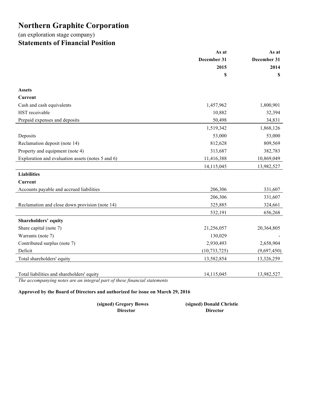# (an exploration stage company) **Statements of Financial Position**

|                                                   | As at          | As at       |  |
|---------------------------------------------------|----------------|-------------|--|
|                                                   | December 31    | December 31 |  |
|                                                   | 2015           | 2014        |  |
|                                                   | \$             | \$          |  |
| <b>Assets</b>                                     |                |             |  |
| Current                                           |                |             |  |
| Cash and cash equivalents                         | 1,457,962      | 1,800,901   |  |
| HST receivable                                    | 10,882         | 32,394      |  |
| Prepaid expenses and deposits                     | 50,498         | 34,831      |  |
|                                                   | 1,519,342      | 1,868,126   |  |
| Deposits                                          | 53,000         | 53,000      |  |
| Reclamation deposit (note 14)                     | 812,628        | 809,569     |  |
| Property and equipment (note 4)                   | 313,687        | 382,783     |  |
| Exploration and evaluation assets (notes 5 and 6) | 11,416,388     | 10,869,049  |  |
|                                                   | 14,115,045     | 13,982,527  |  |
| <b>Liabilities</b>                                |                |             |  |
| Current                                           |                |             |  |
| Accounts payable and accrued liabilities          | 206,306        | 331,607     |  |
|                                                   | 206,306        | 331,607     |  |
| Reclamation and close down provision (note 14)    | 325,885        | 324,661     |  |
|                                                   | 532,191        | 656,268     |  |
| <b>Shareholders' equity</b>                       |                |             |  |
| Share capital (note 7)                            | 21,256,057     | 20,364,805  |  |
| Warrants (note 7)                                 | 130,029        |             |  |
| Contributed surplus (note 7)                      | 2,930,493      | 2,658,904   |  |
| Deficit                                           | (10, 733, 725) | (9,697,450) |  |
| Total shareholders' equity                        | 13,582,854     | 13,326,259  |  |
|                                                   |                |             |  |
| Total liabilities and shareholders' equity        | 14,115,045     | 13,982,527  |  |

*The accompanying notes are an integral part of these financial statements* 

# **Approved by the Board of Directors and authorized for issue on March 29, 2016**

| (signed) Gregory Bowes | (signed) Donald Christie |
|------------------------|--------------------------|
| <b>Director</b>        | <b>Director</b>          |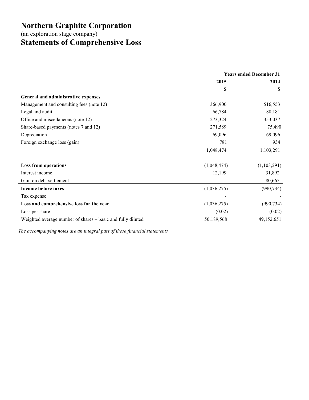(an exploration stage company)

# **Statements of Comprehensive Loss**

|                                                             | <b>Years ended December 31</b> |             |
|-------------------------------------------------------------|--------------------------------|-------------|
|                                                             | 2015                           | 2014        |
|                                                             | \$                             | S           |
| General and administrative expenses                         |                                |             |
| Management and consulting fees (note 12)                    | 366,900                        | 516,553     |
| Legal and audit                                             | 66,784                         | 88,181      |
| Office and miscellaneous (note 12)                          | 273,324                        | 353,037     |
| Share-based payments (notes 7 and 12)                       | 271,589                        | 75,490      |
| Depreciation                                                | 69,096                         | 69,096      |
| Foreign exchange loss (gain)                                | 781                            | 934         |
|                                                             | 1,048,474                      | 1,103,291   |
|                                                             |                                |             |
| <b>Loss from operations</b>                                 | (1,048,474)                    | (1,103,291) |
| Interest income                                             | 12,199                         | 31,892      |
| Gain on debt settlement                                     |                                | 80,665      |
| <b>Income before taxes</b>                                  | (1,036,275)                    | (990, 734)  |
| Tax expense                                                 |                                |             |
| Loss and comprehensive loss for the year                    | (1,036,275)                    | (990, 734)  |
| Loss per share                                              | (0.02)                         | (0.02)      |
| Weighted average number of shares – basic and fully diluted | 50,189,568                     | 49,152,651  |

*The accompanying notes are an integral part of these financial statements*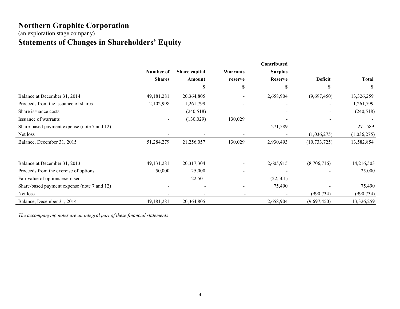(an exploration stage company) **Statements of Changes in Shareholders' Equity**

|                                             |               |               |                          | Contributed    |                |              |
|---------------------------------------------|---------------|---------------|--------------------------|----------------|----------------|--------------|
|                                             | Number of     | Share capital | Warrants                 | <b>Surplus</b> |                |              |
|                                             | <b>Shares</b> | Amount        | reserve                  | <b>Reserve</b> | Deficit        | <b>Total</b> |
|                                             |               | S             | \$                       | S              | S              | S            |
| Balance at December 31, 2014                | 49,181,281    | 20,364,805    |                          | 2,658,904      | (9,697,450)    | 13,326,259   |
| Proceeds from the issuance of shares        | 2,102,998     | 1,261,799     | $\overline{\phantom{a}}$ |                |                | 1,261,799    |
| Share issuance costs                        |               | (240, 518)    |                          |                |                | (240,518)    |
| Issuance of warrants                        |               | (130, 029)    | 130,029                  |                |                |              |
| Share-based payment expense (note 7 and 12) |               |               |                          | 271,589        |                | 271,589      |
| Net loss                                    |               |               | ۰                        |                | (1,036,275)    | (1,036,275)  |
| Balance, December 31, 2015                  | 51,284,279    | 21,256,057    | 130,029                  | 2,930,493      | (10, 733, 725) | 13,582,854   |
| Balance at December 31, 2013                | 49, 131, 281  | 20,317,304    |                          | 2,605,915      | (8,706,716)    | 14,216,503   |
| Proceeds from the exercise of options       | 50,000        | 25,000        |                          |                |                | 25,000       |
| Fair value of options exercised             |               | 22,501        |                          | (22, 501)      |                |              |
| Share-based payment expense (note 7 and 12) |               |               |                          | 75,490         |                | 75,490       |
| Net loss                                    |               |               | $\overline{\phantom{a}}$ |                | (990, 734)     | (990, 734)   |
| Balance, December 31, 2014                  | 49,181,281    | 20,364,805    | $\overline{a}$           | 2,658,904      | (9,697,450)    | 13,326,259   |

*The accompanying notes are an integral part of these financial statements*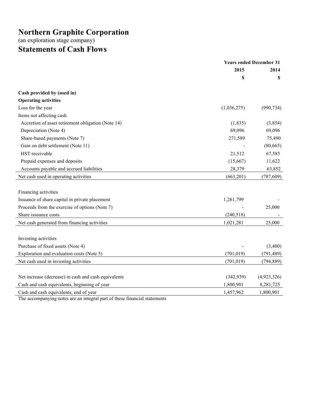(an exploration stage company) **Statements of Cash Flows**

|                                                                                             | <b>Years ended December 31</b> |             |
|---------------------------------------------------------------------------------------------|--------------------------------|-------------|
|                                                                                             | 2015                           | 2014        |
|                                                                                             | \$                             | S           |
| Cash provided by (used in)                                                                  |                                |             |
| <b>Operating activities</b>                                                                 |                                |             |
| Loss for the year                                                                           | (1,036,275)                    | (990, 734)  |
| Items not affecting cash                                                                    |                                |             |
| Accretion of asset retirement obligation (Note 14)                                          | (1, 835)                       | (3,854)     |
| Depreciation (Note 4)                                                                       | 69,096                         | 69,096      |
| Share-based payments (Note 7)                                                               | 271,589                        | 75,490      |
| Gain on debt settlement (Note 11)                                                           |                                | (80, 665)   |
| HST receivable                                                                              | 21,512                         | 67,585      |
| Prepaid expenses and deposits                                                               | (15,667)                       | 11,622      |
| Accounts payable and accrued liabilities                                                    | 28,379                         | 63,852      |
| Net cash used in operating activities                                                       | (663, 201)                     | (787, 609)  |
|                                                                                             |                                |             |
| Financing activities                                                                        |                                |             |
| Issuance of share capital in private placement                                              | 1,261,799                      |             |
| Proceeds from the exercise of options (Note 7)                                              |                                | 25,000      |
| Share issuance costs                                                                        | (240, 518)                     |             |
| Net cash generated from financing activities                                                | 1,021,281                      | 25,000      |
|                                                                                             |                                |             |
| Investing activities                                                                        |                                |             |
| Purchase of fixed assets (Note 4)                                                           |                                | (3,400)     |
| Exploration and evaluation costs (Note 5)                                                   | (701, 019)                     | (791, 489)  |
| Net cash used in investing activities                                                       | (701, 019)                     | (794, 889)  |
|                                                                                             |                                |             |
| Net increase (decrease) in cash and cash equivalents                                        | (342,939)                      | (4,923,326) |
| Cash and cash equivalents, beginning of year                                                | 1,800,901                      | 8,281,725   |
| Cash and cash equivalents, end of year                                                      | 1,457,962                      | 1,800,901   |
| The experimentative instead and one integral months $f$ theory $f$ is an oil of other cuts. |                                |             |

The accompanying notes are an integral part of these financial statements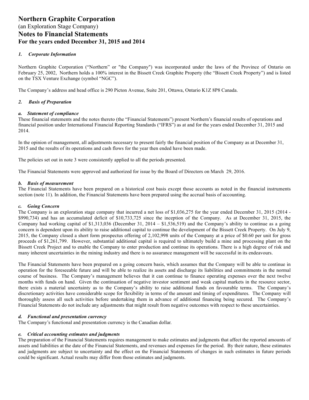#### *1. Corporate Information*

Northern Graphite Corporation ("Northern" or "the Company") was incorporated under the laws of the Province of Ontario on February 25, 2002, Northern holds a 100% interest in the Bissett Creek Graphite Property (the "Bissett Creek Property") and is listed on the TSX Venture Exchange (symbol "NGC").

The Company's address and head office is 290 Picton Avenue, Suite 201, Ottawa, Ontario K1Z 8P8 Canada.

#### *2. Basis of Preparation*

#### *a. Statement of compliance*

These financial statements and the notes thereto (the "Financial Statements") present Northern's financial results of operations and financial position under International Financial Reporting Standards ("IFRS") as at and for the years ended December 31, 2015 and 2014.

In the opinion of management, all adjustments necessary to present fairly the financial position of the Company as at December 31, 2015 and the results of its operations and cash flows for the year then ended have been made.

The policies set out in note 3 were consistently applied to all the periods presented.

The Financial Statements were approved and authorized for issue by the Board of Directors on March 29, 2016.

#### *b. Basis of measurement*

The Financial Statements have been prepared on a historical cost basis except those accounts as noted in the financial instruments section (note 11). In addition, the Financial Statements have been prepared using the accrual basis of accounting.

#### *c. Going Concern*

The Company is an exploration stage company that incurred a net loss of \$1,036,275 for the year ended December 31, 2015 (2014 - \$990,734) and has an accumulated deficit of \$10,733,725 since the inception of the Company. As at December 31, 2015, the Company had working capital of  $$1,313,036$  (December 31, 2014 –  $$1,536,519$ ) and the Company's ability to continue as a going concern is dependent upon its ability to raise additional capital to continue the development of the Bissett Creek Property. On July 9, 2015, the Company closed a short form prospectus offering of 2,102,998 units of the Company at a price of \$0.60 per unit for gross proceeds of \$1,261,799. However, substantial additional capital is required to ultimately build a mine and processing plant on the Bissett Creek Project and to enable the Company to enter production and continue its operations. There is a high degree of risk and many inherent uncertainties in the mining industry and there is no assurance management will be successful in its endeavours.

The Financial Statements have been prepared on a going concern basis, which assumes that the Company will be able to continue in operation for the foreseeable future and will be able to realize its assets and discharge its liabilities and commitments in the normal course of business. The Company's management believes that it can continue to finance operating expenses over the next twelve months with funds on hand. Given the continuation of negative investor sentiment and weak capital markets in the resource sector, there exists a material uncertainty as to the Company's ability to raise additional funds on favourable terms. The Company's discretionary activities have considerable scope for flexibility in terms of the amount and timing of expenditures. The Company will thoroughly assess all such activities before undertaking them in advance of additional financing being secured. The Company's Financial Statements do not include any adjustments that might result from negative outcomes with respect to these uncertainties.

#### *d. Functional and presentation currency*

The Company's functional and presentation currency is the Canadian dollar.

#### *e. Critical accounting estimates and judgments*

The preparation of the Financial Statements requires management to make estimates and judgments that affect the reported amounts of assets and liabilities at the date of the Financial Statements, and revenues and expenses for the period. By their nature, these estimates and judgments are subject to uncertainty and the effect on the Financial Statements of changes in such estimates in future periods could be significant. Actual results may differ from those estimates and judgments.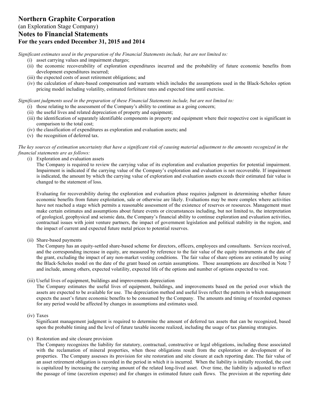*Significant estimates used in the preparation of the Financial Statements include, but are not limited to:* 

- (i) asset carrying values and impairment charges;
- (ii) the economic recoverability of exploration expenditures incurred and the probability of future economic benefits from development expenditures incurred;
- (iii) the expected costs of asset retirement obligations; and
- (iv) the calculation of share-based compensation and warrants which includes the assumptions used in the Black-Scholes option pricing model including volatility, estimated forfeiture rates and expected time until exercise.

*Significant judgments used in the preparation of these Financial Statements include, but are not limited to:* 

- (i) those relating to the assessment of the Company's ability to continue as a going concern;
- (ii) the useful lives and related depreciation of property and equipment;
- (iii) the identification of separately identifiable components in property and equipment where their respective cost is significant in comparison to the total cost;
- (iv) the classification of expenditures as exploration and evaluation assets; and
- (v) the recognition of deferred tax.

#### *The key sources of estimation uncertainty that have a significant risk of causing material adjustment to the amounts recognized in the financial statements are as follows:*

(i) Exploration and evaluation assets

The Company is required to review the carrying value of its exploration and evaluation properties for potential impairment. Impairment is indicated if the carrying value of the Company's exploration and evaluation is not recoverable. If impairment is indicated, the amount by which the carrying value of exploration and evaluation assets exceeds their estimated fair value is changed to the statement of loss.

Evaluating for recoverability during the exploration and evaluation phase requires judgment in determining whether future economic benefits from future exploitation, sale or otherwise are likely. Evaluations may be more complex where activities have not reached a stage which permits a reasonable assessment of the existence of reserves or resources. Management must make certain estimates and assumptions about future events or circumstances including, but not limited to, the interpretation of geological, geophysical and seismic data, the Company's financial ability to continue exploration and evaluation activities, contractual issues with joint venture partners, the impact of government legislation and political stability in the region, and the impact of current and expected future metal prices to potential reserves.

(ii) Share-based payments

The Company has an equity-settled share-based scheme for directors, officers, employees and consultants. Services received, and the corresponding increase in equity, are measured by reference to the fair value of the equity instruments at the date of the grant, excluding the impact of any non-market vesting conditions. The fair value of share options are estimated by using the Black-Scholes model on the date of the grant based on certain assumptions. Those assumptions are described in Note 7 and include, among others, expected volatility, expected life of the options and number of options expected to vest.

(iii) Useful lives of equipment, buildings and improvements depreciation

The Company estimates the useful lives of equipment, buildings, and improvements based on the period over which the assets are expected to be available for use. The depreciation method and useful lives reflect the pattern in which management expects the asset's future economic benefits to be consumed by the Company. The amounts and timing of recorded expenses for any period would be affected by changes in assumptions and estimates used.

#### (iv) Taxes

Significant management judgment is required to determine the amount of deferred tax assets that can be recognized, based upon the probable timing and the level of future taxable income realized, including the usage of tax planning strategies.

#### (v) Restoration and site closure provision

The Company recognizes the liability for statutory, contractual, constructive or legal obligations, including those associated with the reclamation of mineral properties, when those obligations result from the exploration or development of its properties. The Company assesses its provision for site restoration and site closure at each reporting date. The fair value of an asset retirement obligation is recorded in the period in which it is incurred. When the liability is initially recorded, the cost is capitalized by increasing the carrying amount of the related long-lived asset. Over time, the liability is adjusted to reflect the passage of time (accretion expense) and for changes in estimated future cash flows. The provision at the reporting date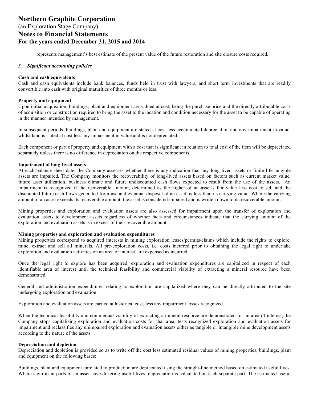represents management's best estimate of the present value of the future restoration and site closure costs required.

#### *3. Significant accounting policies*

#### **Cash and cash equivalents**

Cash and cash equivalents include bank balances, funds held in trust with lawyers, and short term investments that are readily convertible into cash with original maturities of three months or less.

#### **Property and equipment**

Upon initial acquisition, buildings, plant and equipment are valued at cost, being the purchase price and the directly attributable costs of acquisition or construction required to bring the asset to the location and condition necessary for the asset to be capable of operating in the manner intended by management.

In subsequent periods, buildings, plant and equipment are stated at cost less accumulated depreciation and any impairment in value, whilst land is stated at cost less any impairment in value and is not depreciated.

Each component or part of property and equipment with a cost that is significant in relation to total cost of the item will be depreciated separately unless there is no difference in depreciation on the respective components.

#### **Impairment of long-lived assets**

At each balance sheet date, the Company assesses whether there is any indication that any long-lived assets or finite life tangible assets are impaired. The Company monitors the recoverability of long-lived assets based on factors such as current market value, future asset utilization, business climate and future undiscounted cash flows expected to result from the use of the assets. An impairment is recognized if the recoverable amount, determined as the higher of an asset's fair value less cost to sell and the discounted future cash flows generated from use and eventual disposal of an asset, is less than its carrying value. Where the carrying amount of an asset exceeds its recoverable amount, the asset is considered impaired and is written down to its recoverable amount.

Mining properties and exploration and evaluation assets are also assessed for impairment upon the transfer of exploration and evaluation assets to development assets regardless of whether facts and circumstances indicate that the carrying amount of the exploration and evaluation assets is in excess of their recoverable amount.

#### **Mining properties and exploration and evaluation expenditures**

Mining properties correspond to acquired interests in mining exploration leases/permits/claims which include the rights to explore, mine, extract and sell all minerals. All pre-exploration costs, i.e. costs incurred prior to obtaining the legal right to undertake exploration and evaluation activities on an area of interest, are expensed as incurred.

Once the legal right to explore has been acquired, exploration and evaluation expenditures are capitalized in respect of each identifiable area of interest until the technical feasibility and commercial viability of extracting a mineral resource have been demonstrated.

General and administration expenditures relating to exploration are capitalized where they can be directly attributed to the site undergoing exploration and evaluation.

Exploration and evaluation assets are carried at historical cost, less any impairment losses recognized.

When the technical feasibility and commercial viability of extracting a mineral resource are demonstrated for an area of interest, the Company stops capitalizing exploration and evaluation costs for that area, tests recognized exploration and evaluation assets for impairment and reclassifies any unimpaired exploration and evaluation assets either as tangible or intangible mine development assets according to the nature of the assets.

#### **Depreciation and depletion**

Depreciation and depletion is provided so as to write off the cost less estimated residual values of mining properties, buildings, plant and equipment on the following bases:

Buildings, plant and equipment unrelated to production are depreciated using the straight-line method based on estimated useful lives. Where significant parts of an asset have differing useful lives, depreciation is calculated on each separate part. The estimated useful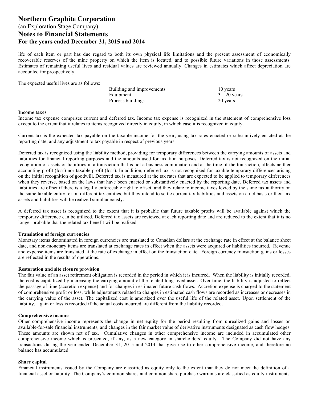life of each item or part has due regard to both its own physical life limitations and the present assessment of economically recoverable reserves of the mine property on which the item is located, and to possible future variations in those assessments. Estimates of remaining useful lives and residual values are reviewed annually. Changes in estimates which affect depreciation are accounted for prospectively.

The expected useful lives are as follows:

| Building and improvements | 10 years       |
|---------------------------|----------------|
| Equipment                 | $3 - 20$ years |
| Process buildings         | 20 years       |

#### **Income taxes**

Income tax expense comprises current and deferred tax. Income tax expense is recognized in the statement of comprehensive loss except to the extent that it relates to items recognized directly in equity, in which case it is recognized in equity.

Current tax is the expected tax payable on the taxable income for the year, using tax rates enacted or substantively enacted at the reporting date, and any adjustment to tax payable in respect of previous years.

Deferred tax is recognized using the liability method, providing for temporary differences between the carrying amounts of assets and liabilities for financial reporting purposes and the amounts used for taxation purposes. Deferred tax is not recognized on the initial recognition of assets or liabilities in a transaction that is not a business combination and at the time of the transaction, affects neither accounting profit (loss) nor taxable profit (loss). In addition, deferred tax is not recognized for taxable temporary differences arising on the initial recognition of goodwill. Deferred tax is measured at the tax rates that are expected to be applied to temporary differences when they reverse, based on the laws that have been enacted or substantively enacted by the reporting date. Deferred tax assets and liabilities are offset if there is a legally enforceable right to offset, and they relate to income taxes levied by the same tax authority on the same taxable entity, or on different tax entities, but they intend to settle current tax liabilities and assets on a net basis or their tax assets and liabilities will be realized simultaneously.

A deferred tax asset is recognized to the extent that it is probable that future taxable profits will be available against which the temporary difference can be utilized. Deferred tax assets are reviewed at each reporting date and are reduced to the extent that it is no longer probable that the related tax benefit will be realized.

#### **Translation of foreign currencies**

Monetary items denominated in foreign currencies are translated to Canadian dollars at the exchange rate in effect at the balance sheet date, and non-monetary items are translated at exchange rates in effect when the assets were acquired or liabilities incurred. Revenue and expense items are translated at the rate of exchange in effect on the transaction date. Foreign currency transaction gains or losses are reflected in the results of operations.

#### **Restoration and site closure provision**

The fair value of an asset retirement obligation is recorded in the period in which it is incurred. When the liability is initially recorded, the cost is capitalized by increasing the carrying amount of the related long-lived asset. Over time, the liability is adjusted to reflect the passage of time (accretion expense) and for changes in estimated future cash flows. Accretion expense is charged to the statement of comprehensive profit or loss, while adjustments related to changes in estimated cash flows are recorded as increases or decreases in the carrying value of the asset. The capitalized cost is amortized over the useful life of the related asset. Upon settlement of the liability, a gain or loss is recorded if the actual costs incurred are different from the liability recorded.

#### **Comprehensive income**

Other comprehensive income represents the change in net equity for the period resulting from unrealized gains and losses on available-for-sale financial instruments, and changes in the fair market value of derivative instruments designated as cash flow hedges. These amounts are shown net of tax. Cumulative changes in other comprehensive income are included in accumulated other comprehensive income which is presented, if any, as a new category in shareholders' equity. The Company did not have any transactions during the year ended December 31, 2015 and 2014 that give rise to other comprehensive income, and therefore no balance has accumulated.

#### **Share capital**

Financial instruments issued by the Company are classified as equity only to the extent that they do not meet the definition of a financial asset or liability. The Company's common shares and common share purchase warrants are classified as equity instruments.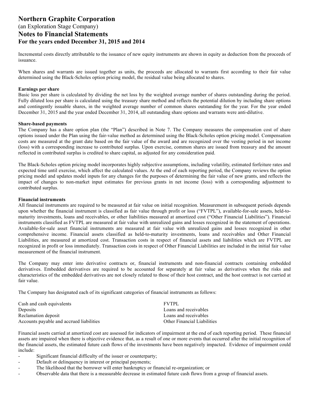Incremental costs directly attributable to the issuance of new equity instruments are shown in equity as deduction from the proceeds of issuance.

When shares and warrants are issued together as units, the proceeds are allocated to warrants first according to their fair value determined using the Black-Scholes option pricing model, the residual value being allocated to shares.

#### **Earnings per share**

Basic loss per share is calculated by dividing the net loss by the weighted average number of shares outstanding during the period. Fully diluted loss per share is calculated using the treasury share method and reflects the potential dilution by including share options and contingently issuable shares, in the weighted average number of common shares outstanding for the year. For the year ended December 31, 2015 and the year ended December 31, 2014, all outstanding share options and warrants were anti-dilutive.

#### **Share-based payments**

The Company has a share option plan (the "Plan") described in Note 7. The Company measures the compensation cost of share options issued under the Plan using the fair-value method as determined using the Black-Scholes option pricing model. Compensation costs are measured at the grant date based on the fair value of the award and are recognized over the vesting period in net income (loss) with a corresponding increase to contributed surplus. Upon exercise, common shares are issued from treasury and the amount reflected in contributed surplus is credited to share capital, as adjusted for any consideration paid.

The Black-Scholes option pricing model incorporates highly subjective assumptions, including volatility, estimated forfeiture rates and expected time until exercise, which affect the calculated values. At the end of each reporting period, the Company reviews the option pricing model and updates model inputs for any changes for the purposes of determining the fair value of new grants, and reflects the impact of changes to non-market input estimates for previous grants in net income (loss) with a corresponding adjustment to contributed surplus.

#### **Financial instruments**

All financial instruments are required to be measured at fair value on initial recognition. Measurement in subsequent periods depends upon whether the financial instrument is classified as fair value through profit or loss ("FVTPL"), available-for-sale assets, held-tomaturity investments, loans and receivables, or other liabilities measured at amortized cost ("Other Financial Liabilities"). Financial instruments classified as FVTPL are measured at fair value with unrealized gains and losses recognized in the statement of operations. Available-for-sale asset financial instruments are measured at fair value with unrealized gains and losses recognized in other comprehensive income. Financial assets classified as held-to-maturity investments, loans and receivables and Other Financial Liabilities, are measured at amortized cost. Transaction costs in respect of financial assets and liabilities which are FVTPL are recognized in profit or loss immediately. Transaction costs in respect of Other Financial Liabilities are included in the initial fair value measurement of the financial instrument.

The Company may enter into derivative contracts or, financial instruments and non-financial contracts containing embedded derivatives. Embedded derivatives are required to be accounted for separately at fair value as derivatives when the risks and characteristics of the embedded derivatives are not closely related to those of their host contract, and the host contract is not carried at fair value.

The Company has designated each of its significant categories of financial instruments as follows:

| Cash and cash equivalents                | <b>FVTPL</b>                       |
|------------------------------------------|------------------------------------|
| Deposits                                 | Loans and receivables              |
| Reclamation deposit                      | Loans and receivables              |
| Accounts payable and accrued liabilities | <b>Other Financial Liabilities</b> |

Financial assets carried at amortized cost are assessed for indicators of impairment at the end of each reporting period. These financial assets are impaired when there is objective evidence that, as a result of one or more events that occurred after the initial recognition of the financial assets, the estimated future cash flows of the investments have been negatively impacted. Evidence of impairment could include:

- Significant financial difficulty of the issuer or counterparty;
- Default or delinquency in interest or principal payments;
- The likelihood that the borrower will enter bankruptcy or financial re-organization; or
- Observable data that there is a measurable decrease in estimated future cash flows from a group of financial assets.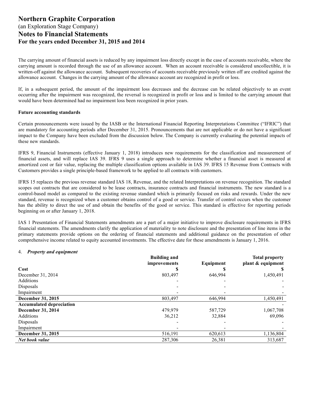The carrying amount of financial assets is reduced by any impairment loss directly except in the case of accounts receivable, where the carrying amount is recorded through the use of an allowance account. When an account receivable is considered uncollectible, it is written-off against the allowance account. Subsequent recoveries of accounts receivable previously written off are credited against the allowance account. Changes in the carrying amount of the allowance account are recognized in profit or loss.

If, in a subsequent period, the amount of the impairment loss decreases and the decrease can be related objectively to an event occurring after the impairment was recognized, the reversal is recognized in profit or loss and is limited to the carrying amount that would have been determined had no impairment loss been recognized in prior years.

#### **Future accounting standards**

Certain pronouncements were issued by the IASB or the International Financial Reporting Interpretations Committee ("IFRIC") that are mandatory for accounting periods after December 31, 2015. Pronouncements that are not applicable or do not have a significant impact to the Company have been excluded from the discussion below. The Company is currently evaluating the potential impacts of these new standards.

IFRS 9, Financial Instruments (effective January 1, 2018) introduces new requirements for the classification and measurement of financial assets, and will replace IAS 39. IFRS 9 uses a single approach to determine whether a financial asset is measured at amortized cost or fair value, replacing the multiple classification options available in IAS 39. IFRS 15 Revenue from Contracts with Customers provides a single principle-based framework to be applied to all contracts with customers.

IFRS 15 replaces the previous revenue standard IAS 18, Revenue, and the related Interpretations on revenue recognition. The standard scopes out contracts that are considered to be lease contracts, insurance contracts and financial instruments. The new standard is a control-based model as compared to the existing revenue standard which is primarily focused on risks and rewards. Under the new standard, revenue is recognized when a customer obtains control of a good or service. Transfer of control occurs when the customer has the ability to direct the use of and obtain the benefits of the good or service. This standard is effective for reporting periods beginning on or after January 1, 2018.

IAS 1 Presentation of Financial Statements amendments are a part of a major initiative to improve disclosure requirements in IFRS financial statements. The amendments clarify the application of materiality to note disclosure and the presentation of line items in the primary statements provide options on the ordering of financial statements and additional guidance on the presentation of other comprehensive income related to equity accounted investments. The effective date for these amendments is January 1, 2016.

#### 4. *Property and equipment*

|                                 | <b>Building and</b><br>improvements | Equipment | <b>Total property</b><br>plant & equipment |
|---------------------------------|-------------------------------------|-----------|--------------------------------------------|
| Cost                            |                                     |           |                                            |
| December 31, 2014               | 803,497                             | 646,994   | 1,450,491                                  |
| <b>Additions</b>                |                                     |           |                                            |
| Disposals                       |                                     |           |                                            |
| Impairment                      |                                     |           |                                            |
| December 31, 2015               | 803,497                             | 646,994   | 1,450,491                                  |
| <b>Accumulated depreciation</b> |                                     |           |                                            |
| December 31, 2014               | 479,979                             | 587,729   | 1,067,708                                  |
| <b>Additions</b>                | 36,212                              | 32,884    | 69,096                                     |
| Disposals                       |                                     |           |                                            |
| Impairment                      |                                     |           |                                            |
| December 31, 2015               | 516,191                             | 620,613   | 1,136,804                                  |
| Net book value                  | 287,306                             | 26,381    | 313,687                                    |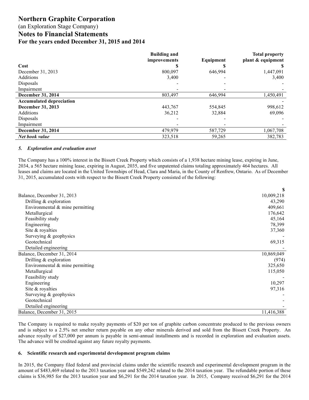### (an Exploration Stage Company)

**Notes to Financial Statements**

**For the years ended December 31, 2015 and 2014**

|                                 | <b>Building and</b><br>improvements | Equipment | <b>Total property</b><br>plant & equipment |
|---------------------------------|-------------------------------------|-----------|--------------------------------------------|
| Cost                            |                                     |           |                                            |
| December 31, 2013               | 800,097                             | 646,994   | 1,447,091                                  |
| Additions                       | 3,400                               |           | 3,400                                      |
| Disposals                       |                                     |           |                                            |
| Impairment                      |                                     |           |                                            |
| December 31, 2014               | 803,497                             | 646,994   | 1,450,491                                  |
| <b>Accumulated depreciation</b> |                                     |           |                                            |
| December 31, 2013               | 443,767                             | 554,845   | 998,612                                    |
| Additions                       | 36,212                              | 32,884    | 69,096                                     |
| Disposals                       |                                     |           |                                            |
| Impairment                      |                                     |           |                                            |
| December 31, 2014               | 479,979                             | 587,729   | 1,067,708                                  |
| Net book value                  | 323,518                             | 59,265    | 382,783                                    |

#### *5. Exploration and evaluation asset*

The Company has a 100% interest in the Bissett Creek Property which consists of a 1,938 hectare mining lease, expiring in June, 2034, a 565 hectare mining lease, expiring in August, 2035, and five unpatented claims totaling approximately 464 hectares. All leases and claims are located in the United Townships of Head, Clara and Maria, in the County of Renfrew, Ontario. As of December 31, 2015, accumulated costs with respect to the Bissett Creek Property consisted of the following:

|                                   | \$.        |
|-----------------------------------|------------|
| Balance, December 31, 2013        | 10,009,218 |
| Drilling $&$ exploration          | 43,290     |
| Environmental $&$ mine permitting | 409,661    |
| Metallurgical                     | 176,642    |
| Feasibility study                 | 45,164     |
| Engineering                       | 78,399     |
| Site & royalties                  | 37,360     |
| Surveying & geophysics            |            |
| Geotechnical                      | 69,315     |
| Detailed engineering              |            |
| Balance, December 31, 2014        | 10,869,049 |
| Drilling $&$ exploration          | (974)      |
| Environmental $&$ mine permitting | 325,650    |
| Metallurgical                     | 115,050    |
| Feasibility study                 |            |
| Engineering                       | 10,297     |
| Site & royalties                  | 97,316     |
| Surveying & geophysics            |            |
| Geotechnical                      |            |
| Detailed engineering              |            |
| Balance, December 31, 2015        | 11,416,388 |

The Company is required to make royalty payments of \$20 per ton of graphite carbon concentrate produced to the previous owners and is subject to a 2.5% net smelter return payable on any other minerals derived and sold from the Bissett Creek Property. An advance royalty of \$27,000 per annum is payable in semi-annual installments and is recorded in exploration and evaluation assets. The advance will be credited against any future royalty payments.

#### **6. Scientific research and experimental development program claims**

In 2015, the Company filed federal and provincial claims under the scientific research and experimental development program in the amount of \$483,469 related to the 2013 taxation year and \$549,242 related to the 2014 taxation year. The refundable portion of these claims is \$36,985 for the 2013 taxation year and \$6,291 for the 2014 taxation year. In 2015, Company received \$6,291 for the 2014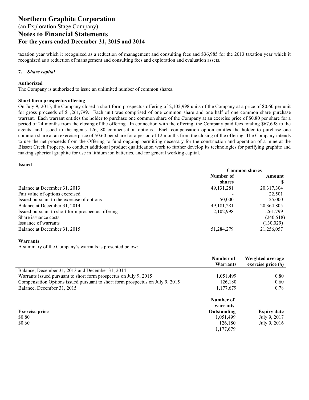taxation year which it recognized as a reduction of management and consulting fees and \$36,985 for the 2013 taxation year which it recognized as a reduction of management and consulting fees and exploration and evaluation assets.

#### **7.** *Share capital*

#### **Authorized**

The Company is authorized to issue an unlimited number of common shares.

#### **Short form prospectus offering**

On July 9, 2015, the Company closed a short form prospectus offering of 2,102,998 units of the Company at a price of \$0.60 per unit for gross proceeds of \$1,261,799. Each unit was comprised of one common share and one half of one common share purchase warrant. Each warrant entitles the holder to purchase one common share of the Company at an exercise price of \$0.80 per share for a period of 24 months from the closing of the offering. In connection with the offering, the Company paid fees totaling \$67,698 to the agents, and issued to the agents 126,180 compensation options. Each compensation option entitles the holder to purchase one common share at an exercise price of \$0.60 per share for a period of 12 months from the closing of the offering. The Company intends to use the net proceeds from the Offering to fund ongoing permitting necessary for the construction and operation of a mine at the Bissett Creek Property, to conduct additional product qualification work to further develop its technologies for purifying graphite and making spherical graphite for use in lithium ion batteries, and for general working capital.

#### **Issued**

|                                                   | <b>Common shares</b> |            |
|---------------------------------------------------|----------------------|------------|
|                                                   | Number of            | Amount     |
|                                                   | shares               |            |
| Balance at December 31, 2013                      | 49, 131, 281         | 20,317,304 |
| Fair value of options exercised                   |                      | 22,501     |
| Issued pursuant to the exercise of options        | 50,000               | 25,000     |
| Balance at December 31, 2014                      | 49, 181, 281         | 20,364,805 |
| Issued pursuant to short form prospectus offering | 2,102,998            | 1,261,799  |
| Share issuance costs                              |                      | (240,518)  |
| Issuance of warrants                              |                      | (130,029)  |
| Balance at December 31, 2015                      | 51,284,279           | 21,256,057 |

#### **Warrants**

A summary of the Company's warrants is presented below:

|                                                                               | Number of             | Weighted average    |
|-------------------------------------------------------------------------------|-----------------------|---------------------|
|                                                                               | Warrants              | exercise price (\$) |
| Balance, December 31, 2013 and December 31, 2014                              |                       |                     |
| Warrants issued pursuant to short form prospectus on July 9, 2015             | 1,051,499             | 0.80                |
| Compensation Options issued pursuant to short form prospectus on July 9, 2015 | 126,180               | 0.60                |
| Balance, December 31, 2015                                                    | 1,177,679             | 0.78                |
|                                                                               | Number of<br>warrants |                     |
| <b>Exercise price</b>                                                         | Outstanding           | <b>Expiry date</b>  |
| \$0.80                                                                        | 1,051,499             | July 9, 2017        |
| \$0.60                                                                        | 126,180               | July 9, 2016        |
|                                                                               | 1,177,679             |                     |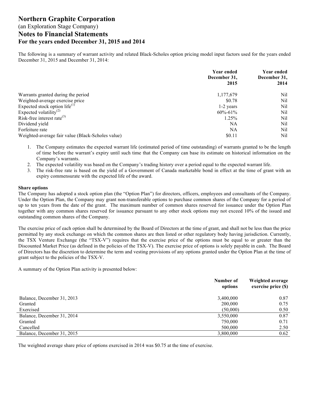The following is a summary of warrant activity and related Black-Scholes option pricing model input factors used for the years ended December 31, 2015 and December 31, 2014:

|                                                   | <b>Year ended</b><br>December 31,<br>2015 | <b>Year ended</b><br>December 31,<br>2014 |
|---------------------------------------------------|-------------------------------------------|-------------------------------------------|
| Warrants granted during the period                | 1,177,679                                 | Nil                                       |
| Weighted-average exercise price                   | \$0.78                                    | Nil                                       |
| Expected stock option life $^{(1)}$               | 1-2 years                                 | Nil                                       |
| Expected volatility <sup>(2)</sup>                | $60\% - 61\%$                             | Nil                                       |
| Risk-free interest rate <sup>(3)</sup>            | 1.25%                                     | Nil                                       |
| Dividend yield                                    | NA                                        | Nil                                       |
| Forfeiture rate                                   | NA                                        | Nil                                       |
| Weighted-average fair value (Black-Scholes value) | \$0.11                                    | Nil                                       |

1. The Company estimates the expected warrant life (estimated period of time outstanding) of warrants granted to be the length of time before the warrant's expiry until such time that the Company can base its estimate on historical information on the Company's warrants.

- 2. The expected volatility was based on the Company's trading history over a period equal to the expected warrant life.
- 3. The risk-free rate is based on the yield of a Government of Canada marketable bond in effect at the time of grant with an expiry commensurate with the expected life of the award.

#### **Share options**

The Company has adopted a stock option plan (the "Option Plan") for directors, officers, employees and consultants of the Company. Under the Option Plan, the Company may grant non-transferable options to purchase common shares of the Company for a period of up to ten years from the date of the grant. The maximum number of common shares reserved for issuance under the Option Plan together with any common shares reserved for issuance pursuant to any other stock options may not exceed 10% of the issued and outstanding common shares of the Company.

The exercise price of each option shall be determined by the Board of Directors at the time of grant, and shall not be less than the price permitted by any stock exchange on which the common shares are then listed or other regulatory body having jurisdiction. Currently, the TSX Venture Exchange (the "TSX-V") requires that the exercise price of the options must be equal to or greater than the Discounted Market Price (as defined in the policies of the TSX-V). The exercise price of options is solely payable in cash. The Board of Directors has the discretion to determine the term and vesting provisions of any options granted under the Option Plan at the time of grant subject to the policies of the TSX-V.

A summary of the Option Plan activity is presented below:

|                            | Number of<br>options | Weighted average<br>exercise price (\$) |
|----------------------------|----------------------|-----------------------------------------|
| Balance, December 31, 2013 | 3,400,000            | 0.87                                    |
| Granted                    | 200,000              | 0.75                                    |
| Exercised                  | (50,000)             | 0.50                                    |
| Balance, December 31, 2014 | 3,550,000            | 0.87                                    |
| Granted                    | 750,000              | 0.71                                    |
| Cancelled                  | 500,000              | 2.50                                    |
| Balance, December 31, 2015 | 3,800,000            | 0.62                                    |

The weighted average share price of options exercised in 2014 was \$0.75 at the time of exercise.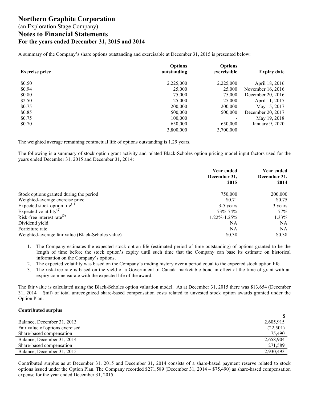A summary of the Company's share options outstanding and exercisable at December 31, 2015 is presented below:

| <b>Exercise price</b> | <b>Options</b><br>outstanding | <b>Options</b><br>exercisable | <b>Expiry date</b> |
|-----------------------|-------------------------------|-------------------------------|--------------------|
| \$0.50                | 2,225,000                     | 2,225,000                     | April 18, 2016     |
| \$0.94                | 25,000                        | 25,000                        | November 16, 2016  |
| \$0.80                | 75,000                        | 75,000                        | December 20, 2016  |
| \$2.50                | 25,000                        | 25,000                        | April 11, 2017     |
| \$0.75                | 200,000                       | 200,000                       | May 15, 2017       |
| \$0.85                | 500,000                       | 500,000                       | December 20, 2017  |
| \$0.75                | 100,000                       |                               | May 19, 2018       |
| \$0.70                | 650,000                       | 650,000                       | January 9, 2020    |
|                       | 3,800,000                     | 3,700,000                     |                    |

The weighted average remaining contractual life of options outstanding is 1.29 years.

The following is a summary of stock option grant activity and related Black-Scholes option pricing model input factors used for the years ended December 31, 2015 and December 31, 2014:

|                                                   | Year ended<br>December 31,<br>2015 | <b>Year ended</b><br>December 31,<br>2014 |
|---------------------------------------------------|------------------------------------|-------------------------------------------|
| Stock options granted during the period           | 750,000                            | 200,000                                   |
| Weighted-average exercise price                   | \$0.71                             | \$0.75                                    |
| Expected stock option life $^{(1)}$               | 3-5 years                          | 3 years                                   |
| Expected volatility <sup>(2)</sup>                | 73%-74%                            | 77%                                       |
| Risk-free interest rate <sup>(3)</sup>            | $1.22\% - 1.25\%$                  | $1.33\%$                                  |
| Dividend yield                                    | NA                                 | NA.                                       |
| Forfeiture rate                                   | NA                                 | NA                                        |
| Weighted-average fair value (Black-Scholes value) | \$0.38                             | \$0.38                                    |

- 1. The Company estimates the expected stock option life (estimated period of time outstanding) of options granted to be the length of time before the stock option's expiry until such time that the Company can base its estimate on historical information on the Company's options.
- 2. The expected volatility was based on the Company's trading history over a period equal to the expected stock option life.
- 3. The risk-free rate is based on the yield of a Government of Canada marketable bond in effect at the time of grant with an expiry commensurate with the expected life of the award.

The fair value is calculated using the Black-Scholes option valuation model. As at December 31, 2015 there was \$13,654 (December 31, 2014 – \$nil) of total unrecognized share-based compensation costs related to unvested stock option awards granted under the Option Plan.

#### **Contributed surplus**

| Balance, December 31, 2013      | 2,605,915 |
|---------------------------------|-----------|
| Fair value of options exercised | (22, 501) |
| Share-based compensation        | 75,490    |
| Balance, December 31, 2014      | 2,658,904 |
| Share-based compensation        | 271,589   |
| Balance, December 31, 2015      | 2,930,493 |

Contributed surplus as at December 31, 2015 and December 31, 2014 consists of a share-based payment reserve related to stock options issued under the Option Plan. The Company recorded \$271,589 (December 31, 2014 – \$75,490) as share-based compensation expense for the year ended December 31, 2015.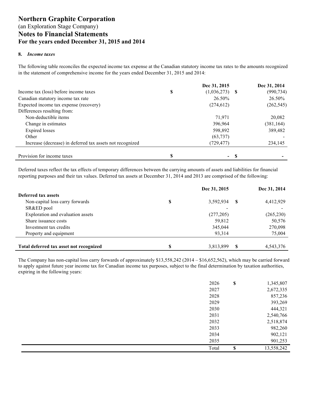#### **8.** *Income taxes*

The following table reconciles the expected income tax expense at the Canadian statutory income tax rates to the amounts recognized in the statement of comprehensive income for the years ended December 31, 2015 and 2014:

|                                                           |   | Dec 31, 2015   |     | Dec 31, 2014 |
|-----------------------------------------------------------|---|----------------|-----|--------------|
| Income tax (loss) before income taxes                     | S | (1,036,273)    | - S | (990, 734)   |
| Canadian statutory income tax rate                        |   | 26.50%         |     | 26.50%       |
| Expected income tax expense (recovery)                    |   | (274, 612)     |     | (262, 545)   |
| Differences resulting from:                               |   |                |     |              |
| Non-deductible items                                      |   | 71,971         |     | 20,082       |
| Change in estimates                                       |   | 396,964        |     | (381, 164)   |
| <b>Expired</b> losses                                     |   | 598,892        |     | 389,482      |
| Other                                                     |   | (63, 737)      |     |              |
| Increase (decrease) in deferred tax assets not recognized |   | (729, 477)     |     | 234,145      |
|                                                           |   |                |     |              |
| Provision for income taxes                                | S | $\blacksquare$ | -8  |              |

Deferred taxes reflect the tax effects of temporary differences between the carrying amounts of assets and liabilities for financial reporting purposes and their tax values. Deferred tax assets at December 31, 2014 and 2013 are comprised of the following:

|                                         | Dec 31, 2015    |    | Dec 31, 2014 |
|-----------------------------------------|-----------------|----|--------------|
| Deferred tax assets                     |                 |    |              |
| Non-capital loss carry forwards         | \$<br>3,592,934 | -S | 4,412,929    |
| SR&ED pool                              |                 |    |              |
| Exploration and evaluation assets       | (277, 205)      |    | (265, 230)   |
| Share issuance costs                    | 59,812          |    | 50,576       |
| Investment tax credits                  | 345,044         |    | 270,098      |
| Property and equipment                  | 93,314          |    | 75,004       |
| Total deferred tax asset not recognized | \$<br>3,813,899 |    | 4.543.376    |

The Company has non-capital loss carry forwards of approximately \$13,558,242 (2014 – \$16,652,562), which may be carried forward to apply against future year income tax for Canadian income tax purposes, subject to the final determination by taxation authorities, expiring in the following years:

|  |  | 2026  | \$<br>1,345,807  |
|--|--|-------|------------------|
|  |  | 2027  | 2,672,335        |
|  |  | 2028  | 857,236          |
|  |  | 2029  | 393,269          |
|  |  | 2030  | 444,321          |
|  |  | 2031  | 2,540,766        |
|  |  | 2032  | 2,518,874        |
|  |  | 2033  | 982,260          |
|  |  | 2034  | 902,121          |
|  |  | 2035  | 901,253          |
|  |  | Total | \$<br>13,558,242 |
|  |  |       |                  |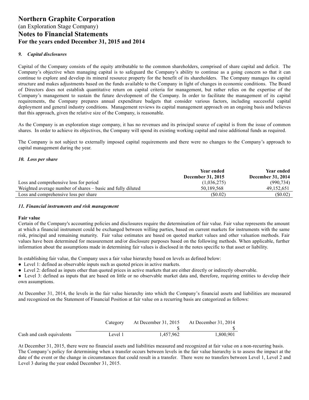#### *9. Capital disclosures*

Capital of the Company consists of the equity attributable to the common shareholders, comprised of share capital and deficit. The Company's objective when managing capital is to safeguard the Company's ability to continue as a going concern so that it can continue to explore and develop its mineral resource property for the benefit of its shareholders. The Company manages its capital structure and makes adjustments based on the funds available to the Company in light of changes in economic conditions. The Board of Directors does not establish quantitative return on capital criteria for management, but rather relies on the expertise of the Company's management to sustain the future development of the Company. In order to facilitate the management of its capital requirements, the Company prepares annual expenditure budgets that consider various factors, including successful capital deployment and general industry conditions. Management reviews its capital management approach on an ongoing basis and believes that this approach, given the relative size of the Company, is reasonable.

As the Company is an exploration stage company, it has no revenues and its principal source of capital is from the issue of common shares. In order to achieve its objectives, the Company will spend its existing working capital and raise additional funds as required.

The Company is not subject to externally imposed capital requirements and there were no changes to the Company's approach to capital management during the year.

#### *10. Loss per share*

|                                                             | <b>Year ended</b>        | Year ended               |
|-------------------------------------------------------------|--------------------------|--------------------------|
|                                                             | <b>December 31, 2015</b> | <b>December 31, 2014</b> |
| Loss and comprehensive loss for period                      | (1,036,275)              | (990, 734)               |
| Weighted average number of shares – basic and fully diluted | 50.189.568               | 49.152.651               |
| Loss and comprehensive loss per share                       | (S0.02)                  | (S0.02)                  |

#### *11. Financial instruments and risk management*

#### **Fair value**

Certain of the Company's accounting policies and disclosures require the determination of fair value. Fair value represents the amount at which a financial instrument could be exchanged between willing parties, based on current markets for instruments with the same risk, principal and remaining maturity. Fair value estimates are based on quoted market values and other valuation methods. Fair values have been determined for measurement and/or disclosure purposes based on the following methods. When applicable, further information about the assumptions made in determining fair values is disclosed in the notes specific to that asset or liability.

In establishing fair value, the Company uses a fair value hierarchy based on levels as defined below:

- Level 1: defined as observable inputs such as quoted prices in active markets.
- Level 2: defined as inputs other than quoted prices in active markets that are either directly or indirectly observable.
- Level 3: defined as inputs that are based on little or no observable market data and, therefore, requiring entities to develop their own assumptions.

At December 31, 2014, the levels in the fair value hierarchy into which the Company's financial assets and liabilities are measured and recognized on the Statement of Financial Position at fair value on a recurring basis are categorized as follows:

|                           | Category | At December 31, 2015 | At December 31, 2014 |
|---------------------------|----------|----------------------|----------------------|
|                           |          |                      |                      |
| Cash and cash equivalents | Level 1  | 1.457.962            | 1.800.901            |

At December 31, 2015, there were no financial assets and liabilities measured and recognized at fair value on a non-recurring basis. The Company's policy for determining when a transfer occurs between levels in the fair value hierarchy is to assess the impact at the date of the event or the change in circumstances that could result in a transfer. There were no transfers between Level 1, Level 2 and Level 3 during the year ended December 31, 2015.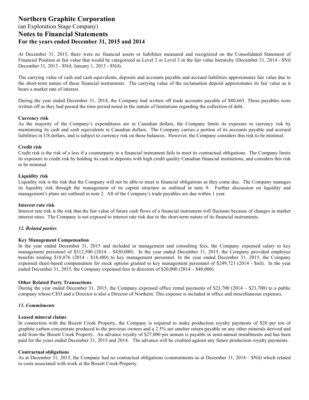At December 31, 2015, there were no financial assets or liabilities measured and recognized on the Consolidated Statement of Financial Position at fair value that would be categorized as Level 2 or Level 3 in the fair value hierarchy (December 31, 2014 - \$Nil December 31, 2013 - \$Nil; January 1, 2013 - \$Nil).

The carrying value of cash and cash equivalents, deposits and accounts payable and accrued liabilities approximates fair value due to the short-term nature of these financial instruments. The carrying value of the reclamation deposit approximates its fair value as it bears a market rate of interest.

During the year ended December 31, 2014, the Company had written off trade accounts payable of \$80,665. These payables were written off as they had passed the time period noted in the statute of limitations regarding the collection of debt.

#### **Currency risk**

As the majority of the Company's expenditures are in Canadian dollars, the Company limits its exposure to currency risk by maintaining its cash and cash equivalents in Canadian dollars. The Company carries a portion of its accounts payable and accrued liabilities in US dollars, and is subject to currency risk on these balances. However, the Company considers this risk to be minimal.

#### **Credit risk**

Credit risk is the risk of a loss if a counterparty to a financial instrument fails to meet its contractual obligations. The Company limits its exposure to credit risk by holding its cash in deposits with high credit quality Canadian financial institutions, and considers this risk to be minimal.

#### **Liquidity risk**

Liquidity risk is the risk that the Company will not be able to meet is financial obligations as they come due. The Company manages its liquidity risk through the management of its capital structure as outlined in note 9. Further discussion on liquidity and management's plans are outlined in note 2. All of the Company's trade payables are due within 1 year.

#### **Interest rate risk**

Interest rate risk is the risk that the fair value of future cash flows of a financial instrument will fluctuate because of changes in market interest rates. The Company is not exposed to interest rate risk due to the short-term nature of its financial instruments.

#### *12. Related parties*

#### **Key Management Compensation**

In the year ended December 31, 2015 and included in management and consulting fees, the Company expensed salary to key management personnel of \$312,500 (2014 – \$430,000). In the year ended December 31, 2015, the Company provided employee benefits totaling \$18,876 (2014 - \$18,480) to key management personnel. In the year ended December 31, 2015, the Company expensed share-based compensation for stock options granted to key management personnel of \$249,723 (2014 - \$nil). In the year ended December 31, 2015, the Company expensed fees to directors of \$20,000 (2014 – \$40,000).

#### **Other Related Party Transactions**

During the year ended December 31, 2015, the Company expensed office rental payments of \$23,700 (2014 – \$23,700) to a public company whose CEO and a Director is also a Director of Northern. This expense is included in office and miscellaneous expenses.

#### *13***.** *Commitments*

#### **Leased mineral claims**

In connection with the Bissett Creek Property, the Company is required to make production royalty payments of \$20 per ton of graphite carbon concentrate produced to the previous owners and a 2.5% net smelter return payable on any other minerals derived and sold from the Bissett Creek Property. An advance royalty of \$27,000 per annum is payable in semi-annual installments and has been paid for the years ended December 31, 2015 and 2014. The advance will be credited against any future production royalty payments.

#### **Contractual obligations**

As at December 31, 2015, the Company had no contractual obligations (commitments as at December 31, 2014 – \$Nil) which related to costs associated with work at the Bissett Creek Property.